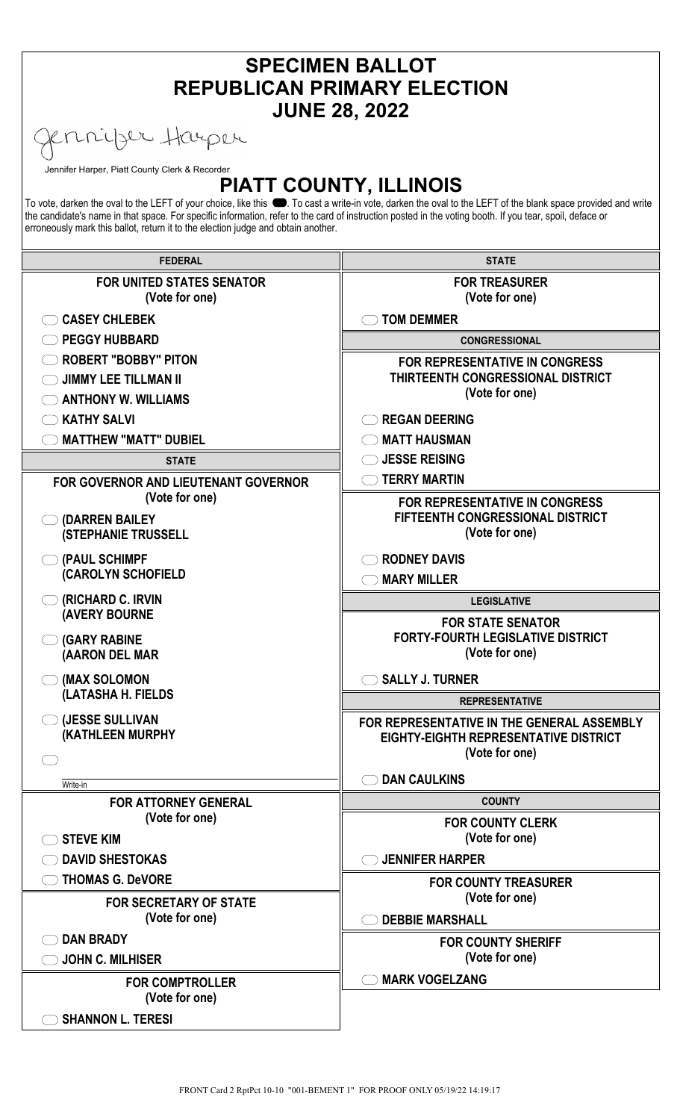| <b>SPECIMEN BALLOT</b><br><b>REPUBLICAN PRIMARY ELECTION</b>                                                                                                                                                                                                                                                                                                                                                  |                                                                                                              |
|---------------------------------------------------------------------------------------------------------------------------------------------------------------------------------------------------------------------------------------------------------------------------------------------------------------------------------------------------------------------------------------------------------------|--------------------------------------------------------------------------------------------------------------|
| <b>JUNE 28, 2022</b><br>nnijser Harper                                                                                                                                                                                                                                                                                                                                                                        |                                                                                                              |
| Jennifer Harper, Piatt County Clerk & Recorder                                                                                                                                                                                                                                                                                                                                                                | <b>PIATT COUNTY, ILLINOIS</b>                                                                                |
| To vote, darken the oval to the LEFT of your choice, like this ●. To cast a write-in vote, darken the oval to the LEFT of the blank space provided and write<br>the candidate's name in that space. For specific information, refer to the card of instruction posted in the voting booth. If you tear, spoil, deface or<br>erroneously mark this ballot, return it to the election judge and obtain another. |                                                                                                              |
| <b>FEDERAL</b>                                                                                                                                                                                                                                                                                                                                                                                                | <b>STATE</b>                                                                                                 |
| <b>FOR UNITED STATES SENATOR</b><br>(Vote for one)                                                                                                                                                                                                                                                                                                                                                            | <b>FOR TREASURER</b><br>(Vote for one)                                                                       |
| <b>CASEY CHLEBEK</b>                                                                                                                                                                                                                                                                                                                                                                                          | <b>TOM DEMMER</b>                                                                                            |
| <b>PEGGY HUBBARD</b>                                                                                                                                                                                                                                                                                                                                                                                          | <b>CONGRESSIONAL</b>                                                                                         |
| <b>ROBERT "BOBBY" PITON</b><br><b>JIMMY LEE TILLMAN II</b>                                                                                                                                                                                                                                                                                                                                                    | <b>FOR REPRESENTATIVE IN CONGRESS</b><br>THIRTEENTH CONGRESSIONAL DISTRICT<br>(Vote for one)                 |
| <b>ANTHONY W. WILLIAMS</b>                                                                                                                                                                                                                                                                                                                                                                                    |                                                                                                              |
| <b>KATHY SALVI</b><br><b>MATTHEW "MATT" DUBIEL</b>                                                                                                                                                                                                                                                                                                                                                            | <b>REGAN DEERING</b><br><b>MATT HAUSMAN</b>                                                                  |
| <b>STATE</b>                                                                                                                                                                                                                                                                                                                                                                                                  | <b>JESSE REISING</b>                                                                                         |
| FOR GOVERNOR AND LIEUTENANT GOVERNOR                                                                                                                                                                                                                                                                                                                                                                          | <b>TERRY MARTIN</b>                                                                                          |
| (Vote for one)                                                                                                                                                                                                                                                                                                                                                                                                | <b>FOR REPRESENTATIVE IN CONGRESS</b>                                                                        |
| (DARREN BAILEY<br><b>(STEPHANIE TRUSSELL</b>                                                                                                                                                                                                                                                                                                                                                                  | <b>FIFTEENTH CONGRESSIONAL DISTRICT</b><br>(Vote for one)                                                    |
| (PAUL SCHIMPF<br>(CAROLYN SCHOFIELD                                                                                                                                                                                                                                                                                                                                                                           | <b>RODNEY DAVIS</b><br><b>MARY MILLER</b>                                                                    |
| (RICHARD C. IRVIN                                                                                                                                                                                                                                                                                                                                                                                             | <b>LEGISLATIVE</b>                                                                                           |
| <b>(AVERY BOURNE</b>                                                                                                                                                                                                                                                                                                                                                                                          | <b>FOR STATE SENATOR</b>                                                                                     |
| <b>(GARY RABINE</b><br>(AARON DEL MAR                                                                                                                                                                                                                                                                                                                                                                         | <b>FORTY-FOURTH LEGISLATIVE DISTRICT</b><br>(Vote for one)                                                   |
| (MAX SOLOMON                                                                                                                                                                                                                                                                                                                                                                                                  | <b>SALLY J. TURNER</b>                                                                                       |
| (LATASHA H. FIELDS                                                                                                                                                                                                                                                                                                                                                                                            | <b>REPRESENTATIVE</b>                                                                                        |
| (JESSE SULLIVAN<br>(KATHLEEN MURPHY                                                                                                                                                                                                                                                                                                                                                                           | FOR REPRESENTATIVE IN THE GENERAL ASSEMBLY<br><b>EIGHTY-EIGHTH REPRESENTATIVE DISTRICT</b><br>(Vote for one) |
|                                                                                                                                                                                                                                                                                                                                                                                                               | <b>DAN CAULKINS</b>                                                                                          |
| Write-in<br><b>FOR ATTORNEY GENERAL</b>                                                                                                                                                                                                                                                                                                                                                                       | <b>COUNTY</b>                                                                                                |
| (Vote for one)                                                                                                                                                                                                                                                                                                                                                                                                | <b>FOR COUNTY CLERK</b>                                                                                      |
| <b>STEVE KIM</b>                                                                                                                                                                                                                                                                                                                                                                                              | (Vote for one)                                                                                               |
| <b>DAVID SHESTOKAS</b>                                                                                                                                                                                                                                                                                                                                                                                        | <b>JENNIFER HARPER</b>                                                                                       |
| <b>THOMAS G. DeVORE</b>                                                                                                                                                                                                                                                                                                                                                                                       | <b>FOR COUNTY TREASURER</b>                                                                                  |
| <b>FOR SECRETARY OF STATE</b>                                                                                                                                                                                                                                                                                                                                                                                 | (Vote for one)                                                                                               |
| (Vote for one)                                                                                                                                                                                                                                                                                                                                                                                                | <b>DEBBIE MARSHALL</b>                                                                                       |
| <b>DAN BRADY</b><br><b>JOHN C. MILHISER</b>                                                                                                                                                                                                                                                                                                                                                                   | <b>FOR COUNTY SHERIFF</b><br>(Vote for one)                                                                  |
| <b>FOR COMPTROLLER</b>                                                                                                                                                                                                                                                                                                                                                                                        | <b>MARK VOGELZANG</b>                                                                                        |
| (Vote for one)                                                                                                                                                                                                                                                                                                                                                                                                |                                                                                                              |
| <b>SHANNON L. TERESI</b>                                                                                                                                                                                                                                                                                                                                                                                      |                                                                                                              |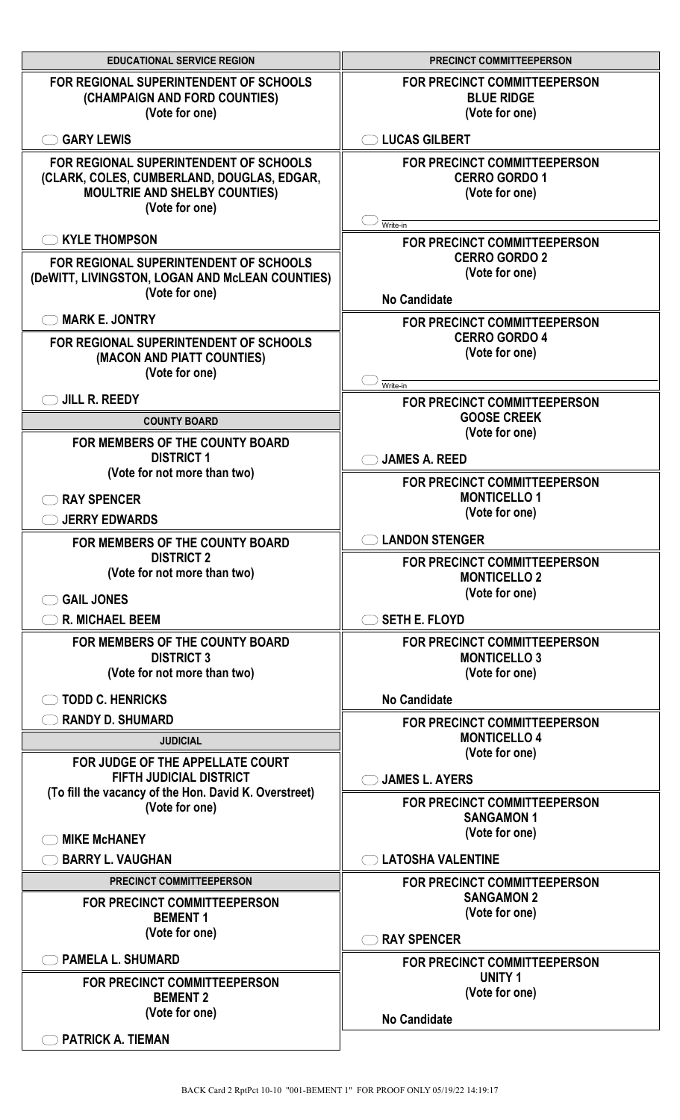| <b>EDUCATIONAL SERVICE REGION</b>                                                                                                              | <b>PRECINCT COMMITTEEPERSON</b>                                               |
|------------------------------------------------------------------------------------------------------------------------------------------------|-------------------------------------------------------------------------------|
| FOR REGIONAL SUPERINTENDENT OF SCHOOLS<br>(CHAMPAIGN AND FORD COUNTIES)<br>(Vote for one)                                                      | FOR PRECINCT COMMITTEEPERSON<br><b>BLUE RIDGE</b><br>(Vote for one)           |
| <b>GARY LEWIS</b>                                                                                                                              | <b>LUCAS GILBERT</b>                                                          |
| FOR REGIONAL SUPERINTENDENT OF SCHOOLS<br>(CLARK, COLES, CUMBERLAND, DOUGLAS, EDGAR,<br><b>MOULTRIE AND SHELBY COUNTIES)</b><br>(Vote for one) | <b>FOR PRECINCT COMMITTEEPERSON</b><br><b>CERRO GORDO 1</b><br>(Vote for one) |
| <b>KYLE THOMPSON</b>                                                                                                                           | Write-in<br><b>FOR PRECINCT COMMITTEEPERSON</b>                               |
| FOR REGIONAL SUPERINTENDENT OF SCHOOLS<br>(DeWITT, LIVINGSTON, LOGAN AND McLEAN COUNTIES)<br>(Vote for one)                                    | <b>CERRO GORDO 2</b><br>(Vote for one)<br><b>No Candidate</b>                 |
| <b>MARK E. JONTRY</b>                                                                                                                          | <b>FOR PRECINCT COMMITTEEPERSON</b>                                           |
| FOR REGIONAL SUPERINTENDENT OF SCHOOLS<br>(MACON AND PIATT COUNTIES)<br>(Vote for one)                                                         | <b>CERRO GORDO 4</b><br>(Vote for one)<br>Write-in                            |
| JILL R. REEDY                                                                                                                                  | <b>FOR PRECINCT COMMITTEEPERSON</b>                                           |
| <b>COUNTY BOARD</b>                                                                                                                            | <b>GOOSE CREEK</b><br>(Vote for one)                                          |
| FOR MEMBERS OF THE COUNTY BOARD<br><b>DISTRICT 1</b>                                                                                           | <b>JAMES A. REED</b>                                                          |
| (Vote for not more than two)<br><b>RAY SPENCER</b>                                                                                             | FOR PRECINCT COMMITTEEPERSON<br><b>MONTICELLO1</b><br>(Vote for one)          |
| <b>JERRY EDWARDS</b><br>FOR MEMBERS OF THE COUNTY BOARD                                                                                        | <b>LANDON STENGER</b>                                                         |
| <b>DISTRICT 2</b><br>(Vote for not more than two)<br><b>GAIL JONES</b>                                                                         | <b>FOR PRECINCT COMMITTEEPERSON</b><br><b>MONTICELLO 2</b><br>(Vote for one)  |
| <b>R. MICHAEL BEEM</b>                                                                                                                         | <b>SETH E. FLOYD</b>                                                          |
| FOR MEMBERS OF THE COUNTY BOARD<br><b>DISTRICT 3</b><br>(Vote for not more than two)                                                           | FOR PRECINCT COMMITTEEPERSON<br><b>MONTICELLO 3</b><br>(Vote for one)         |
| <b>TODD C. HENRICKS</b>                                                                                                                        | <b>No Candidate</b>                                                           |
| <b>RANDY D. SHUMARD</b>                                                                                                                        | FOR PRECINCT COMMITTEEPERSON                                                  |
| <b>JUDICIAL</b>                                                                                                                                | <b>MONTICELLO 4</b><br>(Vote for one)                                         |
| FOR JUDGE OF THE APPELLATE COURT<br><b>FIFTH JUDICIAL DISTRICT</b>                                                                             | <b>JAMES L. AYERS</b>                                                         |
| (To fill the vacancy of the Hon. David K. Overstreet)<br>(Vote for one)                                                                        | FOR PRECINCT COMMITTEEPERSON<br><b>SANGAMON1</b><br>(Vote for one)            |
| <b>MIKE MCHANEY</b>                                                                                                                            |                                                                               |
| <b>BARRY L. VAUGHAN</b><br>PRECINCT COMMITTEEPERSON                                                                                            | <b>LATOSHA VALENTINE</b><br>FOR PRECINCT COMMITTEEPERSON                      |
| FOR PRECINCT COMMITTEEPERSON<br><b>BEMENT 1</b>                                                                                                | <b>SANGAMON 2</b><br>(Vote for one)                                           |
| (Vote for one)                                                                                                                                 | <b>RAY SPENCER</b>                                                            |
| <b>PAMELA L. SHUMARD</b><br>FOR PRECINCT COMMITTEEPERSON                                                                                       | FOR PRECINCT COMMITTEEPERSON<br><b>UNITY 1</b><br>(Vote for one)              |
| <b>BEMENT 2</b><br>(Vote for one)                                                                                                              | <b>No Candidate</b>                                                           |
| <b>PATRICK A. TIEMAN</b>                                                                                                                       |                                                                               |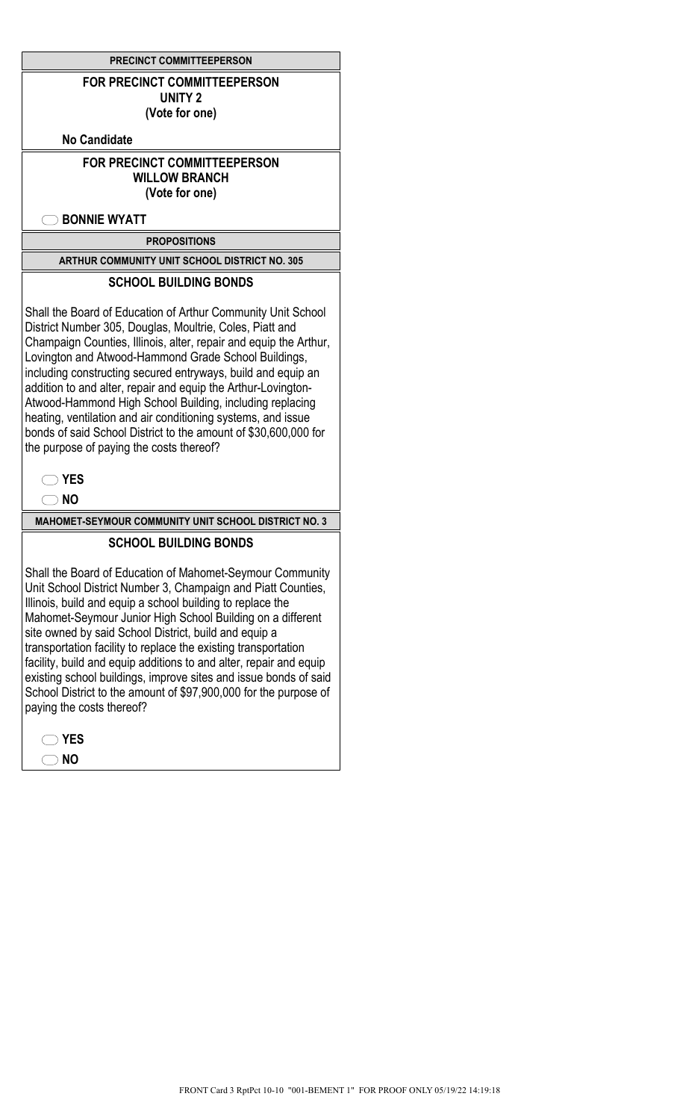|  | <b>PRECINCT COMMITTEEPERSON</b> |
|--|---------------------------------|
|--|---------------------------------|

#### **FOR PRECINCT COMMITTEEPERSON UNITY 2 (Vote for one)**

**No Candidate**

# **FOR PRECINCT COMMITTEEPERSON WILLOW BRANCH**

**(Vote for one)**

**BONNIE WYATT**

**PROPOSITIONS**

**ARTHUR COMMUNITY UNIT SCHOOL DISTRICT NO. 305**

# **SCHOOL BUILDING BONDS**

Shall the Board of Education of Arthur Community Unit School District Number 305, Douglas, Moultrie, Coles, Piatt and Champaign Counties, Illinois, alter, repair and equip the Arthur, Lovington and Atwood-Hammond Grade School Buildings, including constructing secured entryways, build and equip an addition to and alter, repair and equip the Arthur-Lovington-Atwood-Hammond High School Building, including replacing heating, ventilation and air conditioning systems, and issue bonds of said School District to the amount of \$30,600,000 for the purpose of paying the costs thereof?

**NO**

**MAHOMET-SEYMOUR COMMUNITY UNIT SCHOOL DISTRICT NO. 3**

### **SCHOOL BUILDING BONDS**

Shall the Board of Education of Mahomet-Seymour Community Unit School District Number 3, Champaign and Piatt Counties, Illinois, build and equip a school building to replace the Mahomet-Seymour Junior High School Building on a different site owned by said School District, build and equip a transportation facility to replace the existing transportation facility, build and equip additions to and alter, repair and equip existing school buildings, improve sites and issue bonds of said School District to the amount of \$97,900,000 for the purpose of paying the costs thereof?

| YI<br>ΕS  |
|-----------|
| <b>NO</b> |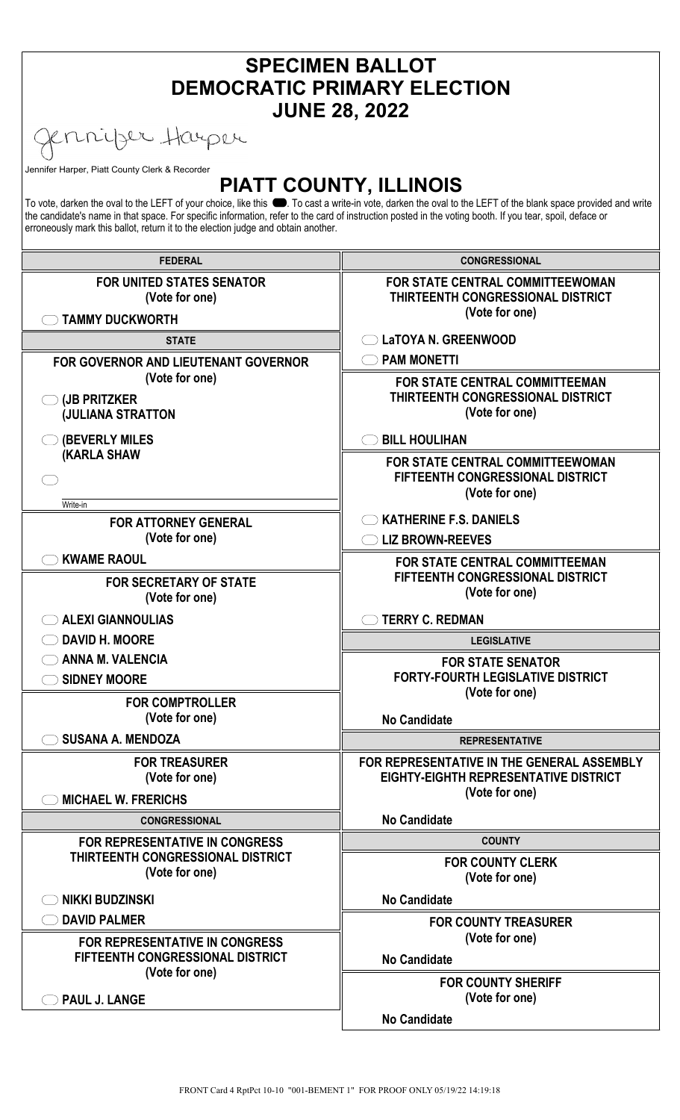| <b>SPECIMEN BALLOT</b><br><b>DEMOCRATIC PRIMARY ELECTION</b><br><b>JUNE 28, 2022</b>                                                                                                                                                                                                                                                                                                                                                           |                                                                                                       |
|------------------------------------------------------------------------------------------------------------------------------------------------------------------------------------------------------------------------------------------------------------------------------------------------------------------------------------------------------------------------------------------------------------------------------------------------|-------------------------------------------------------------------------------------------------------|
| errijer Harper                                                                                                                                                                                                                                                                                                                                                                                                                                 |                                                                                                       |
| Jennifer Harper, Piatt County Clerk & Recorder                                                                                                                                                                                                                                                                                                                                                                                                 |                                                                                                       |
| <b>PIATT COUNTY, ILLINOIS</b><br>To vote, darken the oval to the LEFT of your choice, like this ●. To cast a write-in vote, darken the oval to the LEFT of the blank space provided and write<br>the candidate's name in that space. For specific information, refer to the card of instruction posted in the voting booth. If you tear, spoil, deface or<br>erroneously mark this ballot, return it to the election judge and obtain another. |                                                                                                       |
| <b>FEDERAL</b>                                                                                                                                                                                                                                                                                                                                                                                                                                 | <b>CONGRESSIONAL</b>                                                                                  |
| <b>FOR UNITED STATES SENATOR</b><br>(Vote for one)<br><b>TAMMY DUCKWORTH</b>                                                                                                                                                                                                                                                                                                                                                                   | <b>FOR STATE CENTRAL COMMITTEEWOMAN</b><br><b>THIRTEENTH CONGRESSIONAL DISTRICT</b><br>(Vote for one) |
| <b>STATE</b>                                                                                                                                                                                                                                                                                                                                                                                                                                   | LaTOYA N. GREENWOOD                                                                                   |
| <b>FOR GOVERNOR AND LIEUTENANT GOVERNOR</b>                                                                                                                                                                                                                                                                                                                                                                                                    | <b>PAM MONETTI</b>                                                                                    |
| (Vote for one)<br>$\bigcirc$ (JB PRITZKER<br><b>(JULIANA STRATTON</b>                                                                                                                                                                                                                                                                                                                                                                          | <b>FOR STATE CENTRAL COMMITTEEMAN</b><br><b>THIRTEENTH CONGRESSIONAL DISTRICT</b><br>(Vote for one)   |
| (BEVERLY MILES                                                                                                                                                                                                                                                                                                                                                                                                                                 | <b>BILL HOULIHAN</b>                                                                                  |
| <b>(KARLA SHAW</b>                                                                                                                                                                                                                                                                                                                                                                                                                             | <b>FOR STATE CENTRAL COMMITTEEWOMAN</b><br><b>FIFTEENTH CONGRESSIONAL DISTRICT</b><br>(Vote for one)  |
| Write-in                                                                                                                                                                                                                                                                                                                                                                                                                                       | <b>KATHERINE F.S. DANIELS</b>                                                                         |
| <b>FOR ATTORNEY GENERAL</b><br>(Vote for one)                                                                                                                                                                                                                                                                                                                                                                                                  | <b>LIZ BROWN-REEVES</b>                                                                               |
| <b>KWAME RAOUL</b>                                                                                                                                                                                                                                                                                                                                                                                                                             | <b>FOR STATE CENTRAL COMMITTEEMAN</b>                                                                 |
| <b>FOR SECRETARY OF STATE</b><br>(Vote for one)                                                                                                                                                                                                                                                                                                                                                                                                | <b>FIFTEENTH CONGRESSIONAL DISTRICT</b><br>(Vote for one)                                             |
| ALEXI GIANNOULIAS                                                                                                                                                                                                                                                                                                                                                                                                                              | <b>TERRY C. REDMAN</b>                                                                                |
| ◯ DAVID H. MOORE                                                                                                                                                                                                                                                                                                                                                                                                                               | <b>LEGISLATIVE</b>                                                                                    |
| $\bigcirc$ ANNA M. VALENCIA                                                                                                                                                                                                                                                                                                                                                                                                                    | <b>FOR STATE SENATOR</b>                                                                              |
| SIDNEY MOORE                                                                                                                                                                                                                                                                                                                                                                                                                                   | <b>FORTY-FOURTH LEGISLATIVE DISTRICT</b><br>(Vote for one)                                            |
| <b>FOR COMPTROLLER</b><br>(Vote for one)                                                                                                                                                                                                                                                                                                                                                                                                       | <b>No Candidate</b>                                                                                   |
| <b>SUSANA A. MENDOZA</b>                                                                                                                                                                                                                                                                                                                                                                                                                       | <b>REPRESENTATIVE</b>                                                                                 |
| <b>FOR TREASURER</b><br>(Vote for one)                                                                                                                                                                                                                                                                                                                                                                                                         | FOR REPRESENTATIVE IN THE GENERAL ASSEMBLY<br>EIGHTY-EIGHTH REPRESENTATIVE DISTRICT                   |
| <b>MICHAEL W. FRERICHS</b>                                                                                                                                                                                                                                                                                                                                                                                                                     | (Vote for one)                                                                                        |
| <b>CONGRESSIONAL</b>                                                                                                                                                                                                                                                                                                                                                                                                                           | <b>No Candidate</b>                                                                                   |
| <b>FOR REPRESENTATIVE IN CONGRESS</b>                                                                                                                                                                                                                                                                                                                                                                                                          | <b>COUNTY</b>                                                                                         |
| THIRTEENTH CONGRESSIONAL DISTRICT<br>(Vote for one)                                                                                                                                                                                                                                                                                                                                                                                            | <b>FOR COUNTY CLERK</b><br>(Vote for one)                                                             |
| <b>NIKKI BUDZINSKI</b>                                                                                                                                                                                                                                                                                                                                                                                                                         | <b>No Candidate</b>                                                                                   |
| <b>DAVID PALMER</b>                                                                                                                                                                                                                                                                                                                                                                                                                            | <b>FOR COUNTY TREASURER</b><br>(Vote for one)                                                         |
| <b>FOR REPRESENTATIVE IN CONGRESS</b><br>FIFTEENTH CONGRESSIONAL DISTRICT                                                                                                                                                                                                                                                                                                                                                                      | <b>No Candidate</b>                                                                                   |
| (Vote for one)<br><b>PAUL J. LANGE</b>                                                                                                                                                                                                                                                                                                                                                                                                         | <b>FOR COUNTY SHERIFF</b><br>(Vote for one)                                                           |
|                                                                                                                                                                                                                                                                                                                                                                                                                                                | <b>No Candidate</b>                                                                                   |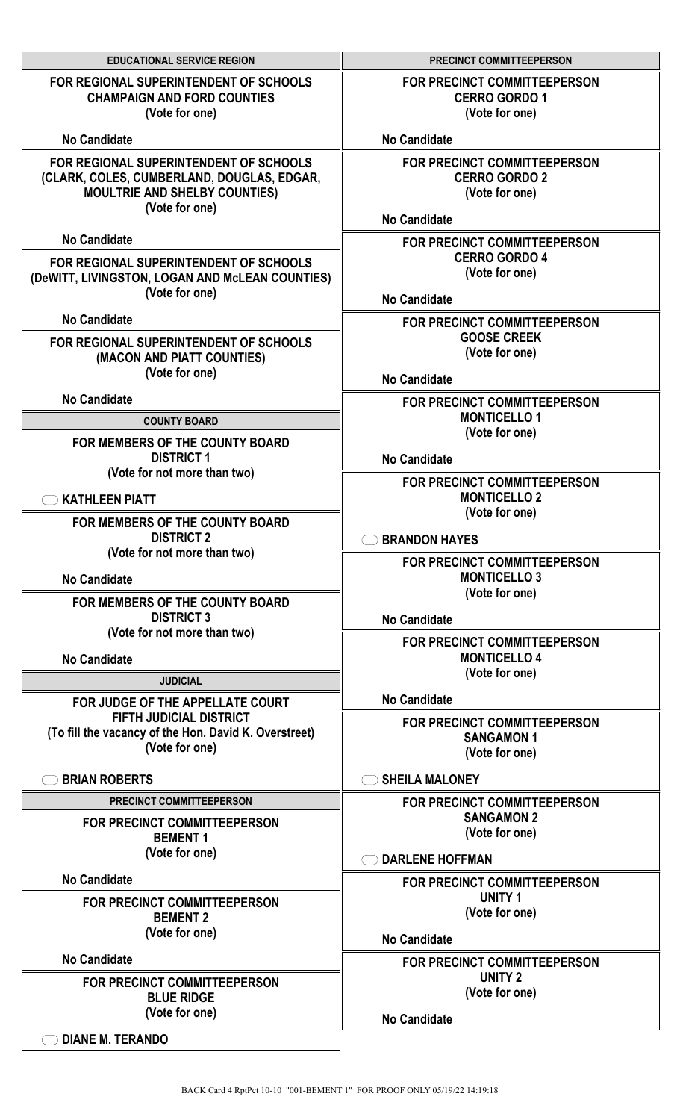| <b>EDUCATIONAL SERVICE REGION</b>                                                                                                              | PRECINCT COMMITTEEPERSON                                                                      |
|------------------------------------------------------------------------------------------------------------------------------------------------|-----------------------------------------------------------------------------------------------|
| FOR REGIONAL SUPERINTENDENT OF SCHOOLS<br><b>CHAMPAIGN AND FORD COUNTIES</b><br>(Vote for one)                                                 | FOR PRECINCT COMMITTEEPERSON<br><b>CERRO GORDO 1</b><br>(Vote for one)                        |
| <b>No Candidate</b>                                                                                                                            | <b>No Candidate</b>                                                                           |
| FOR REGIONAL SUPERINTENDENT OF SCHOOLS<br>(CLARK, COLES, CUMBERLAND, DOUGLAS, EDGAR,<br><b>MOULTRIE AND SHELBY COUNTIES)</b><br>(Vote for one) | FOR PRECINCT COMMITTEEPERSON<br><b>CERRO GORDO 2</b><br>(Vote for one)<br><b>No Candidate</b> |
| <b>No Candidate</b>                                                                                                                            | FOR PRECINCT COMMITTEEPERSON                                                                  |
| FOR REGIONAL SUPERINTENDENT OF SCHOOLS<br>(DeWITT, LIVINGSTON, LOGAN AND McLEAN COUNTIES)<br>(Vote for one)                                    | <b>CERRO GORDO 4</b><br>(Vote for one)<br><b>No Candidate</b>                                 |
| <b>No Candidate</b>                                                                                                                            | FOR PRECINCT COMMITTEEPERSON                                                                  |
| FOR REGIONAL SUPERINTENDENT OF SCHOOLS<br>(MACON AND PIATT COUNTIES)<br>(Vote for one)                                                         | <b>GOOSE CREEK</b><br>(Vote for one)                                                          |
| <b>No Candidate</b>                                                                                                                            | <b>No Candidate</b>                                                                           |
| <b>COUNTY BOARD</b>                                                                                                                            | FOR PRECINCT COMMITTEEPERSON<br><b>MONTICELLO1</b><br>(Vote for one)                          |
| FOR MEMBERS OF THE COUNTY BOARD<br><b>DISTRICT 1</b>                                                                                           | <b>No Candidate</b>                                                                           |
| (Vote for not more than two)<br><b>KATHLEEN PIATT</b>                                                                                          | FOR PRECINCT COMMITTEEPERSON<br><b>MONTICELLO 2</b><br>(Vote for one)                         |
| FOR MEMBERS OF THE COUNTY BOARD<br><b>DISTRICT 2</b>                                                                                           | <b>BRANDON HAYES</b>                                                                          |
| (Vote for not more than two)<br><b>No Candidate</b>                                                                                            | <b>FOR PRECINCT COMMITTEEPERSON</b><br><b>MONTICELLO 3</b><br>(Vote for one)                  |
| FOR MEMBERS OF THE COUNTY BOARD<br><b>DISTRICT 3</b><br>(Vote for not more than two)                                                           | <b>No Candidate</b>                                                                           |
| <b>No Candidate</b>                                                                                                                            | FOR PRECINCT COMMITTEEPERSON<br><b>MONTICELLO 4</b>                                           |
| <b>JUDICIAL</b>                                                                                                                                | (Vote for one)                                                                                |
| FOR JUDGE OF THE APPELLATE COURT                                                                                                               | <b>No Candidate</b>                                                                           |
| <b>FIFTH JUDICIAL DISTRICT</b><br>(To fill the vacancy of the Hon. David K. Overstreet)<br>(Vote for one)                                      | FOR PRECINCT COMMITTEEPERSON<br><b>SANGAMON1</b><br>(Vote for one)                            |
| <b>BRIAN ROBERTS</b>                                                                                                                           | <b>SHEILA MALONEY</b>                                                                         |
| PRECINCT COMMITTEEPERSON                                                                                                                       | FOR PRECINCT COMMITTEEPERSON                                                                  |
| <b>FOR PRECINCT COMMITTEEPERSON</b><br><b>BEMENT 1</b>                                                                                         | <b>SANGAMON 2</b><br>(Vote for one)                                                           |
| (Vote for one)                                                                                                                                 | <b>DARLENE HOFFMAN</b>                                                                        |
| <b>No Candidate</b>                                                                                                                            | FOR PRECINCT COMMITTEEPERSON                                                                  |
| <b>FOR PRECINCT COMMITTEEPERSON</b><br><b>BEMENT 2</b><br>(Vote for one)                                                                       | <b>UNITY 1</b><br>(Vote for one)                                                              |
|                                                                                                                                                | <b>No Candidate</b>                                                                           |
| <b>No Candidate</b><br><b>FOR PRECINCT COMMITTEEPERSON</b><br><b>BLUE RIDGE</b>                                                                | FOR PRECINCT COMMITTEEPERSON<br><b>UNITY 2</b><br>(Vote for one)                              |
| (Vote for one)                                                                                                                                 | <b>No Candidate</b>                                                                           |
| <b>DIANE M. TERANDO</b>                                                                                                                        |                                                                                               |